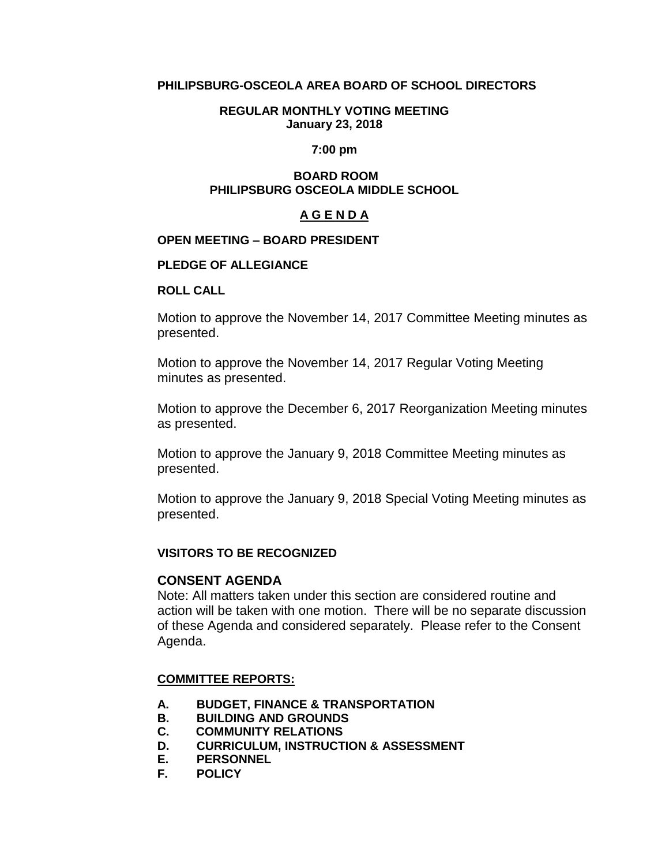## **PHILIPSBURG-OSCEOLA AREA BOARD OF SCHOOL DIRECTORS**

#### **REGULAR MONTHLY VOTING MEETING January 23, 2018**

#### **7:00 pm**

#### **BOARD ROOM PHILIPSBURG OSCEOLA MIDDLE SCHOOL**

#### **A G E N D A**

#### **OPEN MEETING – BOARD PRESIDENT**

#### **PLEDGE OF ALLEGIANCE**

#### **ROLL CALL**

Motion to approve the November 14, 2017 Committee Meeting minutes as presented.

Motion to approve the November 14, 2017 Regular Voting Meeting minutes as presented.

Motion to approve the December 6, 2017 Reorganization Meeting minutes as presented.

Motion to approve the January 9, 2018 Committee Meeting minutes as presented.

Motion to approve the January 9, 2018 Special Voting Meeting minutes as presented.

#### **VISITORS TO BE RECOGNIZED**

#### **CONSENT AGENDA**

Note: All matters taken under this section are considered routine and action will be taken with one motion. There will be no separate discussion of these Agenda and considered separately. Please refer to the Consent Agenda.

#### **COMMITTEE REPORTS:**

- **A. BUDGET, FINANCE & TRANSPORTATION**
- **B. BUILDING AND GROUNDS**
- **C. COMMUNITY RELATIONS**
- **D. CURRICULUM, INSTRUCTION & ASSESSMENT**
- **E. PERSONNEL**
- **F. POLICY**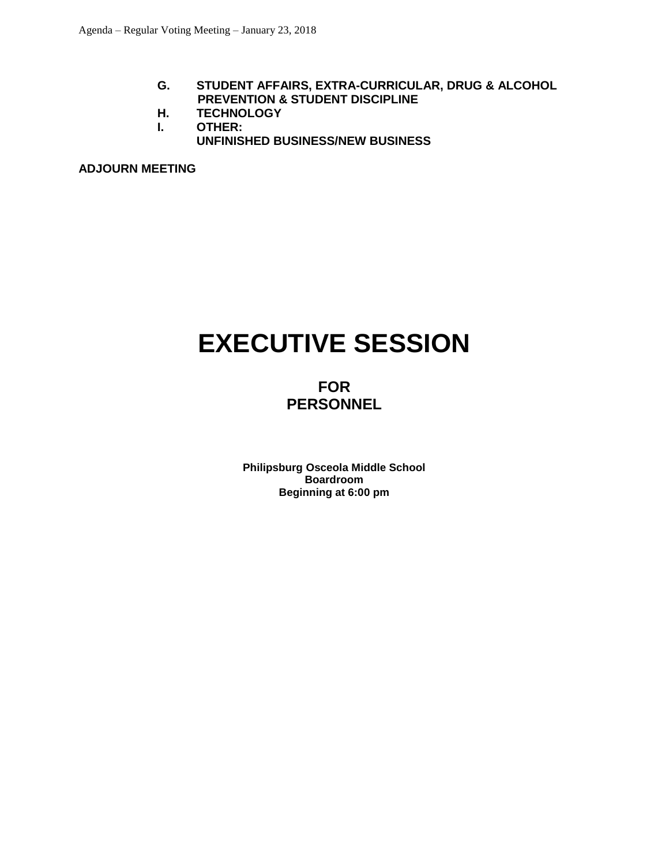- **G. STUDENT AFFAIRS, EXTRA-CURRICULAR, DRUG & ALCOHOL PREVENTION & STUDENT DISCIPLINE**
- **H. TECHNOLOGY**
- **I. OTHER:**
	- **UNFINISHED BUSINESS/NEW BUSINESS**

**ADJOURN MEETING**

# **EXECUTIVE SESSION**

# **FOR PERSONNEL**

**Philipsburg Osceola Middle School Boardroom Beginning at 6:00 pm**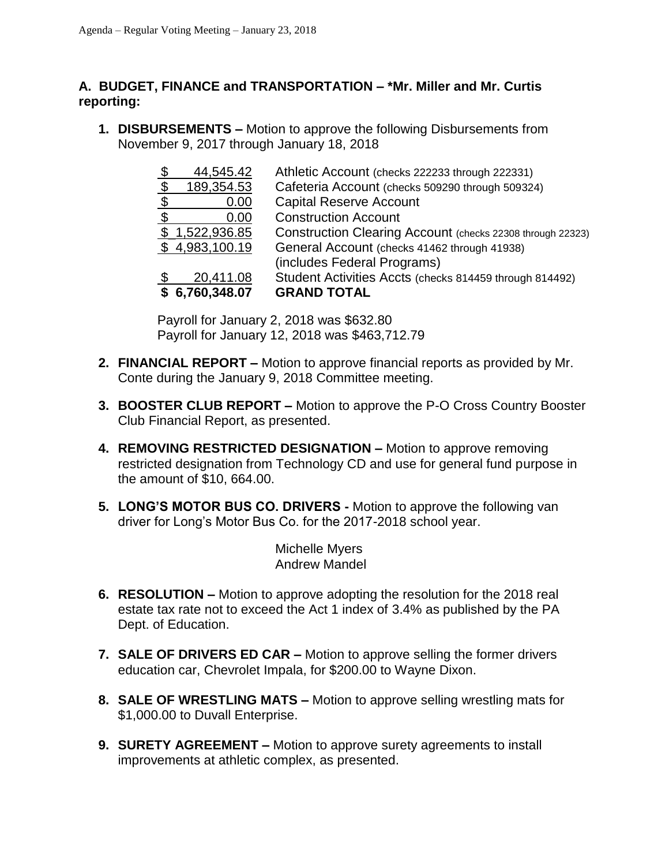# **A. BUDGET, FINANCE and TRANSPORTATION – \*Mr. Miller and Mr. Curtis reporting:**

**1. DISBURSEMENTS –** Motion to approve the following Disbursements from November 9, 2017 through January 18, 2018

| $\mathfrak{F}$ | 44,545.42      | Athletic Account (checks 222233 through 222331)            |
|----------------|----------------|------------------------------------------------------------|
| -\$            | 189,354.53     | Cafeteria Account (checks 509290 through 509324)           |
| $\mathfrak{F}$ | 0.00           | <b>Capital Reserve Account</b>                             |
| ් ති           | 0.00           | <b>Construction Account</b>                                |
|                | \$1,522,936.85 | Construction Clearing Account (checks 22308 through 22323) |
|                | \$4,983,100.19 | General Account (checks 41462 through 41938)               |
|                |                | (includes Federal Programs)                                |
|                | 20,411.08      | Student Activities Accts (checks 814459 through 814492)    |
|                | \$6,760,348.07 | <b>GRAND TOTAL</b>                                         |

Payroll for January 2, 2018 was \$632.80 Payroll for January 12, 2018 was \$463,712.79

- **2. FINANCIAL REPORT –** Motion to approve financial reports as provided by Mr. Conte during the January 9, 2018 Committee meeting.
- **3. BOOSTER CLUB REPORT –** Motion to approve the P-O Cross Country Booster Club Financial Report, as presented.
- **4. REMOVING RESTRICTED DESIGNATION –** Motion to approve removing restricted designation from Technology CD and use for general fund purpose in the amount of \$10, 664.00.
- **5. LONG'S MOTOR BUS CO. DRIVERS -** Motion to approve the following van driver for Long's Motor Bus Co. for the 2017-2018 school year.

Michelle Myers Andrew Mandel

- **6. RESOLUTION –** Motion to approve adopting the resolution for the 2018 real estate tax rate not to exceed the Act 1 index of 3.4% as published by the PA Dept. of Education.
- **7. SALE OF DRIVERS ED CAR –** Motion to approve selling the former drivers education car, Chevrolet Impala, for \$200.00 to Wayne Dixon.
- **8. SALE OF WRESTLING MATS –** Motion to approve selling wrestling mats for \$1,000.00 to Duvall Enterprise.
- **9. SURETY AGREEMENT –** Motion to approve surety agreements to install improvements at athletic complex, as presented.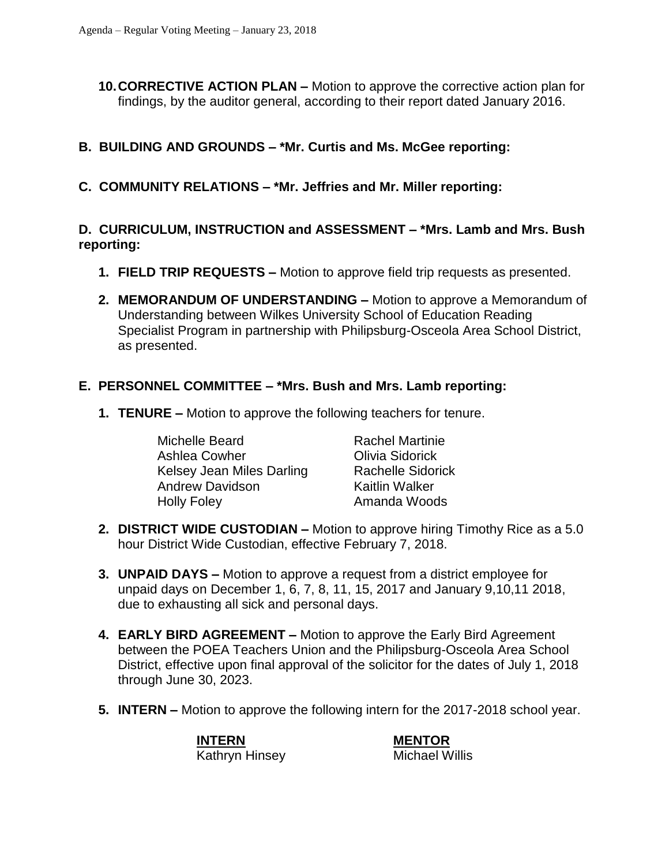**10.CORRECTIVE ACTION PLAN –** Motion to approve the corrective action plan for findings, by the auditor general, according to their report dated January 2016.

# **B. BUILDING AND GROUNDS – \*Mr. Curtis and Ms. McGee reporting:**

**C. COMMUNITY RELATIONS – \*Mr. Jeffries and Mr. Miller reporting:**

# **D. CURRICULUM, INSTRUCTION and ASSESSMENT – \*Mrs. Lamb and Mrs. Bush reporting:**

- **1. FIELD TRIP REQUESTS –** Motion to approve field trip requests as presented.
- **2. MEMORANDUM OF UNDERSTANDING –** Motion to approve a Memorandum of Understanding between Wilkes University School of Education Reading Specialist Program in partnership with Philipsburg-Osceola Area School District, as presented.

## **E. PERSONNEL COMMITTEE – \*Mrs. Bush and Mrs. Lamb reporting:**

**1. TENURE –** Motion to approve the following teachers for tenure.

Michelle Beard **Rachel Martinie** Ashlea Cowher **Charlo Combina Combina**<br>Kelsey Jean Miles Darling Rachelle Sidor Kelsey Jean Miles Darling Rachelle Sidorick Andrew Davidson Kaitlin Walker Holly Foley **Amanda Woods** 

- **2. DISTRICT WIDE CUSTODIAN –** Motion to approve hiring Timothy Rice as a 5.0 hour District Wide Custodian, effective February 7, 2018.
- **3. UNPAID DAYS –** Motion to approve a request from a district employee for unpaid days on December 1, 6, 7, 8, 11, 15, 2017 and January 9,10,11 2018, due to exhausting all sick and personal days.
- **4. EARLY BIRD AGREEMENT –** Motion to approve the Early Bird Agreement between the POEA Teachers Union and the Philipsburg-Osceola Area School District, effective upon final approval of the solicitor for the dates of July 1, 2018 through June 30, 2023.
- **5. INTERN –** Motion to approve the following intern for the 2017-2018 school year.

**INTERN MENTOR** Kathryn Hinsey Michael Willis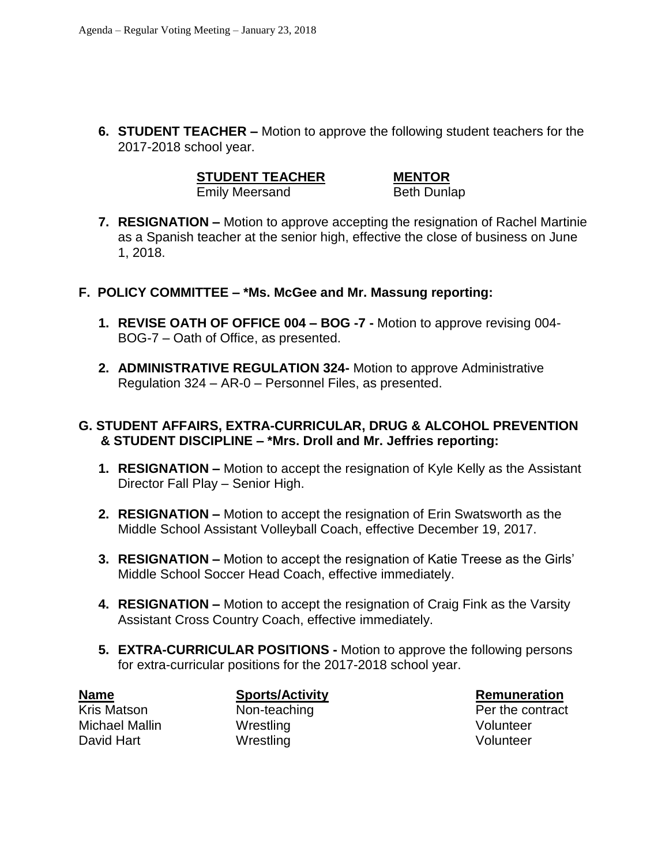**6. STUDENT TEACHER –** Motion to approve the following student teachers for the 2017-2018 school year.

**STUDENT TEACHER MENTOR**

Emily Meersand Beth Dunlap

- **7. RESIGNATION –** Motion to approve accepting the resignation of Rachel Martinie as a Spanish teacher at the senior high, effective the close of business on June 1, 2018.
- **F. POLICY COMMITTEE – \*Ms. McGee and Mr. Massung reporting:**
	- **1. REVISE OATH OF OFFICE 004 – BOG -7 -** Motion to approve revising 004- BOG-7 – Oath of Office, as presented.
	- **2. ADMINISTRATIVE REGULATION 324-** Motion to approve Administrative Regulation 324 – AR-0 – Personnel Files, as presented.

# **G. STUDENT AFFAIRS, EXTRA-CURRICULAR, DRUG & ALCOHOL PREVENTION & STUDENT DISCIPLINE – \*Mrs. Droll and Mr. Jeffries reporting:**

- **1. RESIGNATION –** Motion to accept the resignation of Kyle Kelly as the Assistant Director Fall Play – Senior High.
- **2. RESIGNATION –** Motion to accept the resignation of Erin Swatsworth as the Middle School Assistant Volleyball Coach, effective December 19, 2017.
- **3. RESIGNATION –** Motion to accept the resignation of Katie Treese as the Girls' Middle School Soccer Head Coach, effective immediately.
- **4. RESIGNATION –** Motion to accept the resignation of Craig Fink as the Varsity Assistant Cross Country Coach, effective immediately.
- **5. EXTRA-CURRICULAR POSITIONS -** Motion to approve the following persons for extra-curricular positions for the 2017-2018 school year.

Michael Mallin Wrestling Volunteer David Hart **Wrestling** Volunteer

**Name Sports/Activity Remuneration** 

Kris Matson **Non-teaching Per the contract**